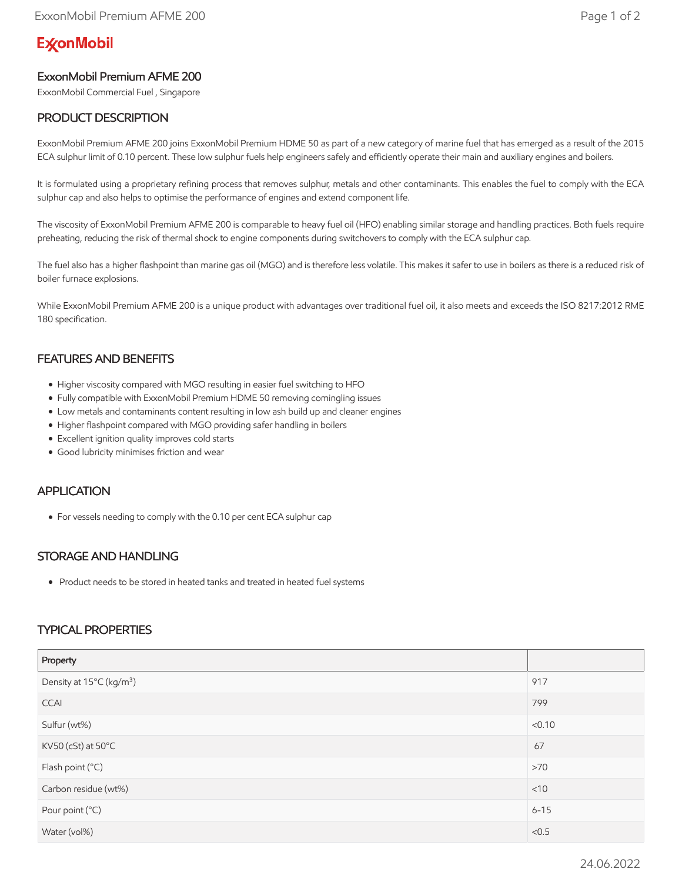# **ExconMobil**

## ExxonMobil Premium AFME 200

ExxonMobil Commercial Fuel , Singapore

## PRODUCT DESCRIPTION

ExxonMobil Premium AFME 200 joins ExxonMobil Premium HDME 50 as part of a new category of marine fuel that has emerged as a result of the 2015 ECA sulphur limit of 0.10 percent. These low sulphur fuels help engineers safely and efficiently operate their main and auxiliary engines and boilers.

It is formulated using a proprietary refining process that removes sulphur, metals and other contaminants. This enables the fuel to comply with the ECA sulphur cap and also helps to optimise the performance of engines and extend component life.

The viscosity of ExxonMobil Premium AFME 200 is comparable to heavy fuel oil (HFO) enabling similar storage and handling practices. Both fuels require preheating, reducing the risk of thermal shock to engine components during switchovers to comply with the ECA sulphur cap.

The fuel also has a higher flashpoint than marine gas oil (MGO) and is therefore less volatile. This makes it safer to use in boilers as there is a reduced risk of boiler furnace explosions.

While ExxonMobil Premium AFME 200 is a unique product with advantages over traditional fuel oil, it also meets and exceeds the ISO 8217:2012 RME 180 specification.

### FEATURES AND BENEFITS

- Higher viscosity compared with MGO resulting in easier fuel switching to HFO
- Fully compatible with ExxonMobil Premium HDME 50 removing comingling issues
- Low metals and contaminants content resulting in low ash build up and cleaner engines
- Higher flashpoint compared with MGO providing safer handling in boilers
- Excellent ignition quality improves cold starts
- Good lubricity minimises friction and wear

#### APPLICATION

For vessels needing to comply with the 0.10 per cent ECA sulphur cap

#### STORAGE AND HANDLING

Product needs to be stored in heated tanks and treated in heated fuel systems

#### TYPICAL PROPERTIES

| Property                             |          |
|--------------------------------------|----------|
| Density at 15°C (kg/m <sup>3</sup> ) | 917      |
| <b>CCAI</b>                          | 799      |
| Sulfur (wt%)                         | < 0.10   |
| KV50 (cSt) at 50°C                   | 67       |
| Flash point (°C)                     | >70      |
| Carbon residue (wt%)                 | $<$ 10   |
| Pour point (°C)                      | $6 - 15$ |
| Water (vol%)                         | < 0.5    |